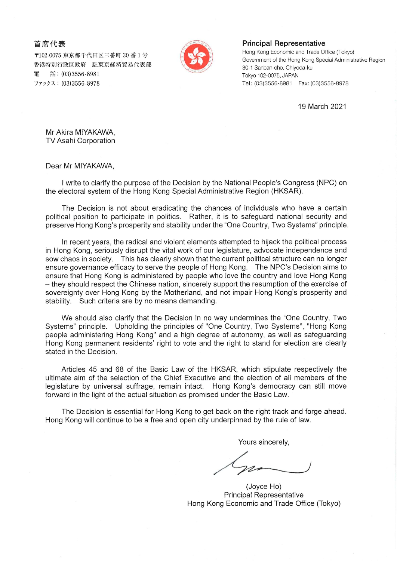## 首席代表

〒102-0075 東京都千代田区三番町 30 番 1 号 香港特別行政区政府 駐東京経済貿易代表部 話: (03)3556-8981 ファックス: (03)3556-8978



## **Principal Representative**

Hong Kong Economic and Trade Office (Tokyo) Government of the Hong Kong Special Administrative Region 30-1 Sanban-cho, Chiyoda-ku Tokyo 102-0075, JAPAN Tel: (03)3556-8981 Fax: (03)3556-8978

19 March 2021

Mr Akira MIYAKAWA, TV Asahi Corporation

Dear Mr MIYAKAWA,

I write to clarify the purpose of the Decision by the National People's Congress (NPC) on the electoral system of the Hong Kong Special Administrative Region (HKSAR).

The Decision is not about eradicating the chances of individuals who have a certain political position to participate in politics. Rather, it is to safeguard national security and preserve Hong Kong's prosperity and stability under the "One Country, Two Systems" principle.

In recent years, the radical and violent elements attempted to hijack the political process in Hong Kong, seriously disrupt the vital work of our legislature, advocate independence and sow chaos in society. This has clearly shown that the current political structure can no longer ensure governance efficacy to serve the people of Hong Kong. The NPC's Decision aims to ensure that Hong Kong is administered by people who love the country and love Hong Kong - they should respect the Chinese nation, sincerely support the resumption of the exercise of sovereignty over Hong Kong by the Motherland, and not impair Hong Kong's prosperity and stability. Such criteria are by no means demanding.

We should also clarify that the Decision in no way undermines the "One Country, Two Systems" principle. Upholding the principles of "One Country, Two Systems", "Hong Kong people administering Hong Kong" and a high degree of autonomy, as well as safeguarding Hong Kong permanent residents' right to vote and the right to stand for election are clearly stated in the Decision.

Articles 45 and 68 of the Basic Law of the HKSAR, which stipulate respectively the ultimate aim of the selection of the Chief Executive and the election of all members of the legislature by universal suffrage, remain intact. Hong Kong's democracy can still move forward in the light of the actual situation as promised under the Basic Law.

The Decision is essential for Hong Kong to get back on the right track and forge ahead. Hong Kong will continue to be a free and open city underpinned by the rule of law.

Yours sincerely,

(Joyce Ho) **Principal Representative** Hong Kong Economic and Trade Office (Tokyo)